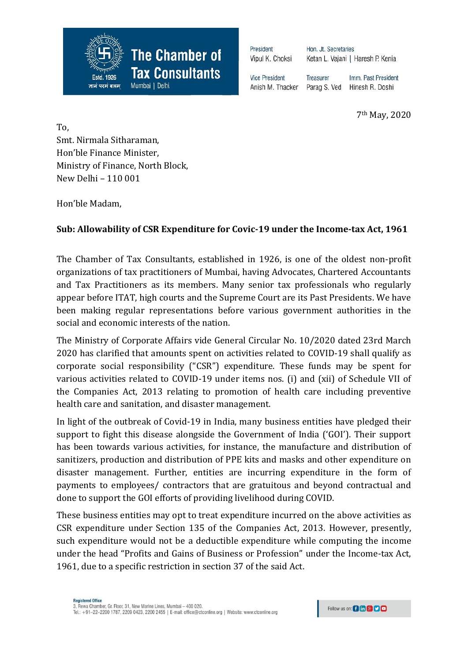President Vipul K. Choksi

**The Chamber of** 

**Tax Consultants** 

Mumbai | Delhi

Hon. Jt. Secretaries Ketan L. Vajani | Haresh P. Kenia

**Vice President** Anish M. Thacker

Treasurer Imm. Past President Parag S. Ved Hinesh R. Doshi

7th May, 2020

To, Smt. Nirmala Sitharaman, Hon'ble Finance Minister, Ministry of Finance, North Block, New Delhi – 110 001

1926

ज्ञानं परमं बलम

Hon'ble Madam,

## **Sub: Allowability of CSR Expenditure for Covic-19 under the Income-tax Act, 1961**

The Chamber of Tax Consultants, established in 1926, is one of the oldest non-profit organizations of tax practitioners of Mumbai, having Advocates, Chartered Accountants and Tax Practitioners as its members. Many senior tax professionals who regularly appear before ITAT, high courts and the Supreme Court are its Past Presidents. We have been making regular representations before various government authorities in the social and economic interests of the nation.

The Ministry of Corporate Affairs vide General Circular No. 10/2020 dated 23rd March 2020 has clarified that amounts spent on activities related to COVID-19 shall qualify as corporate social responsibility ("CSR") expenditure. These funds may be spent for various activities related to COVID-19 under items nos. (i) and (xii) of Schedule VII of the Companies Act, 2013 relating to promotion of health care including preventive health care and sanitation, and disaster management.

In light of the outbreak of Covid-19 in India, many business entities have pledged their support to fight this disease alongside the Government of India ('GOI'). Their support has been towards various activities, for instance, the manufacture and distribution of sanitizers, production and distribution of PPE kits and masks and other expenditure on disaster management. Further, entities are incurring expenditure in the form of payments to employees/ contractors that are gratuitous and beyond contractual and done to support the GOI efforts of providing livelihood during COVID.

These business entities may opt to treat expenditure incurred on the above activities as CSR expenditure under Section 135 of the Companies Act, 2013. However, presently, such expenditure would not be a deductible expenditure while computing the income under the head "Profits and Gains of Business or Profession" under the Income-tax Act, 1961, due to a specific restriction in section 37 of the said Act.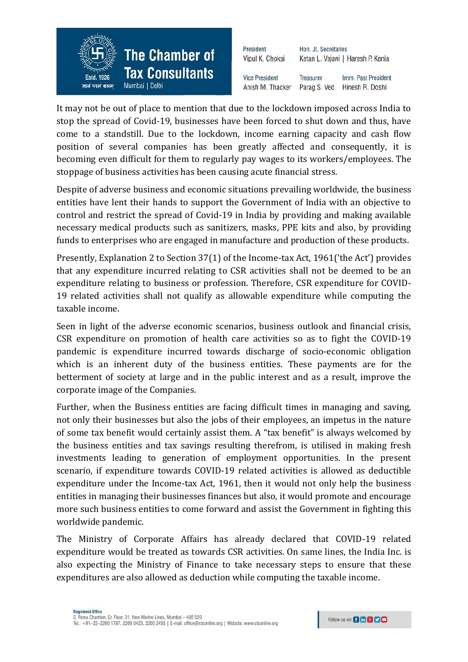

| President             | Hon. Jt. Secretaries              |                     |  |
|-----------------------|-----------------------------------|---------------------|--|
| Vipul K. Choksi       | Ketan L. Vajani   Haresh P. Kenia |                     |  |
| <b>Vice President</b> | <b>Treasurer</b>                  | Imm. Past President |  |
| Anish M. Thacker      | Parag S. Ved                      | Hinesh R. Doshi     |  |

It may not be out of place to mention that due to the lockdown imposed across India to stop the spread of Covid-19, businesses have been forced to shut down and thus, have come to a standstill. Due to the lockdown, income earning capacity and cash flow position of several companies has been greatly affected and consequently, it is becoming even difficult for them to regularly pay wages to its workers/employees. The stoppage of business activities has been causing acute financial stress.

Despite of adverse business and economic situations prevailing worldwide, the business entities have lent their hands to support the Government of India with an objective to control and restrict the spread of Covid-19 in India by providing and making available necessary medical products such as sanitizers, masks, PPE kits and also, by providing funds to enterprises who are engaged in manufacture and production of these products.

Presently, Explanation 2 to Section 37(1) of the Income-tax Act, 1961('the Act') provides that any expenditure incurred relating to CSR activities shall not be deemed to be an expenditure relating to business or profession. Therefore, CSR expenditure for COVID-19 related activities shall not qualify as allowable expenditure while computing the taxable income.

Seen in light of the adverse economic scenarios, business outlook and financial crisis, CSR expenditure on promotion of health care activities so as to fight the COVID-19 pandemic is expenditure incurred towards discharge of socio-economic obligation which is an inherent duty of the business entities. These payments are for the betterment of society at large and in the public interest and as a result, improve the corporate image of the Companies.

Further, when the Business entities are facing difficult times in managing and saving, not only their businesses but also the jobs of their employees, an impetus in the nature of some tax benefit would certainly assist them. A "tax benefit" is always welcomed by the business entities and tax savings resulting therefrom, is utilised in making fresh investments leading to generation of employment opportunities. In the present scenario, if expenditure towards COVID-19 related activities is allowed as deductible expenditure under the Income-tax Act, 1961, then it would not only help the business entities in managing their businesses finances but also, it would promote and encourage more such business entities to come forward and assist the Government in fighting this worldwide pandemic.

The Ministry of Corporate Affairs has already declared that COVID-19 related expenditure would be treated as towards CSR activities. On same lines, the India Inc. is also expecting the Ministry of Finance to take necessary steps to ensure that these expenditures are also allowed as deduction while computing the taxable income.